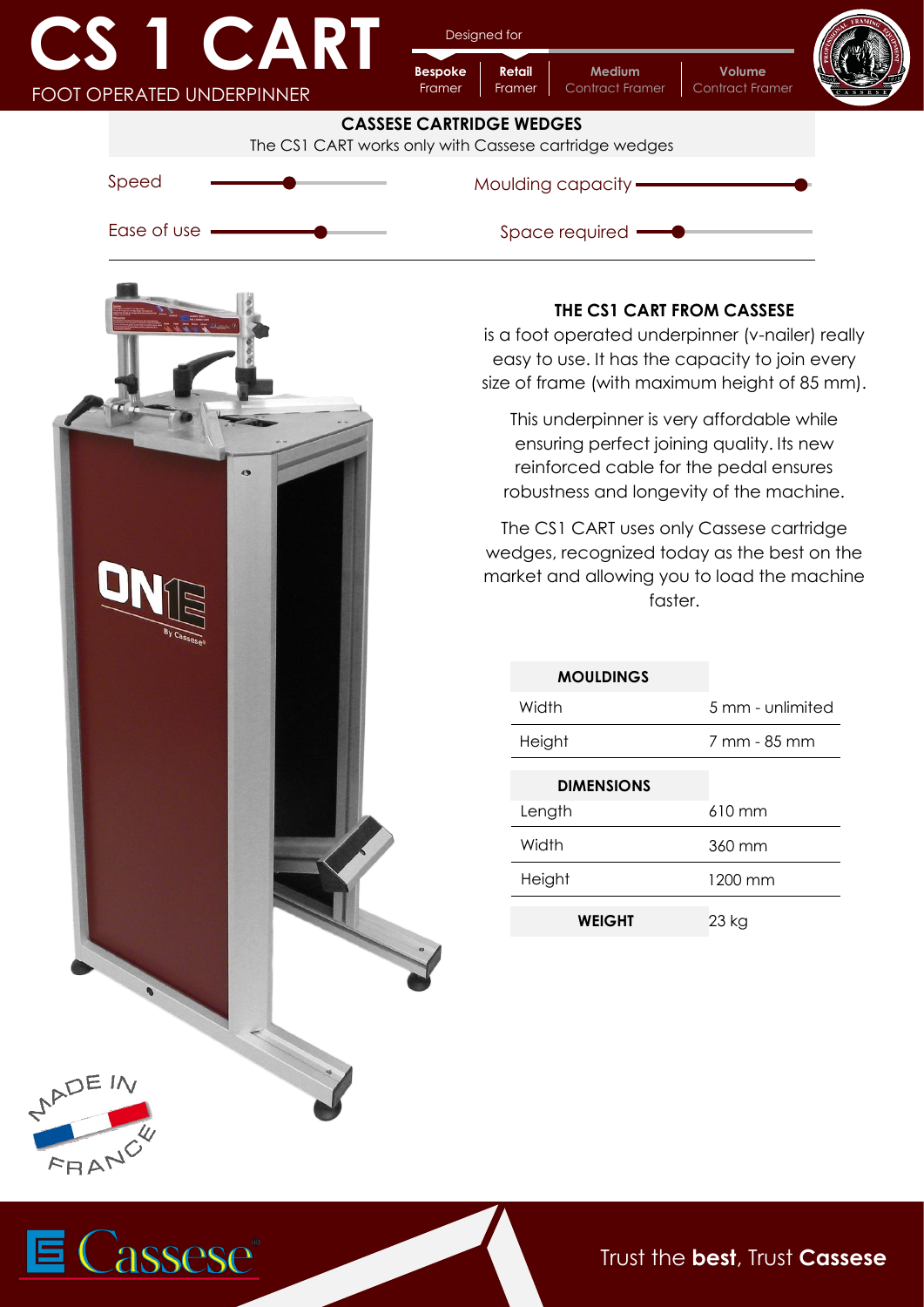| A IV                             | CART |
|----------------------------------|------|
| <b>FOOT OPERATED UNDERPINNER</b> |      |

assese®

Designed for

**Bespoke**

**Retail**

**Medium** Contract Framer **Volume**